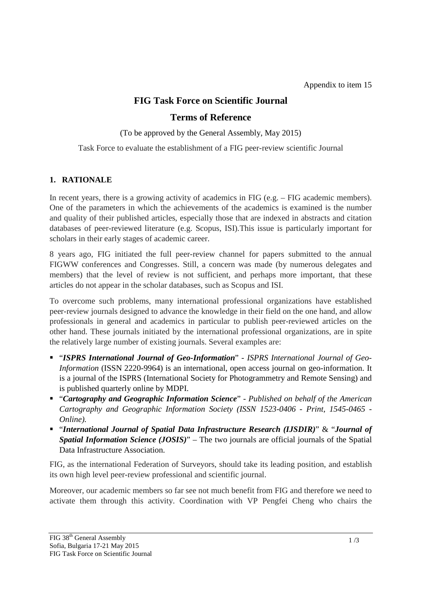# **FIG Task Force on Scientific Journal**

## **Terms of Reference**

(To be approved by the General Assembly, May 2015)

Task Force to evaluate the establishment of a FIG peer-review scientific Journal

#### **1. RATIONALE**

In recent years, there is a growing activity of academics in FIG (e.g. – FIG academic members). One of the parameters in which the achievements of the academics is examined is the number and quality of their published articles, especially those that are indexed in abstracts and citation databases of peer-reviewed literature (e.g. Scopus, ISI).This issue is particularly important for scholars in their early stages of academic career.

8 years ago, FIG initiated the full peer-review channel for papers submitted to the annual FIGWW conferences and Congresses. Still, a concern was made (by numerous delegates and members) that the level of review is not sufficient, and perhaps more important, that these articles do not appear in the scholar databases, such as Scopus and ISI.

To overcome such problems, many international professional organizations have established peer-review journals designed to advance the knowledge in their field on the one hand, and allow professionals in general and academics in particular to publish peer-reviewed articles on the other hand. These journals initiated by the international professional organizations, are in spite the relatively large number of existing journals. Several examples are:

- "*ISPRS International Journal of Geo-Information*" *ISPRS International Journal of Geo-Information* (ISSN 2220-9964) is an international, open access journal on geo-information. It is a journal of the ISPRS (International Society for Photogrammetry and Remote Sensing) and is published quarterly online by MDPI.
- "*Cartography and Geographic Information Science*" *Published on behalf of the American Cartography and Geographic Information Society (ISSN 1523-0406 - Print, 1545-0465 - Online).*
- "*International Journal of Spatial Data Infrastructure Research (IJSDIR)*" & "*Journal of Spatial Information Science (JOSIS)*" – The two journals are official journals of the Spatial Data Infrastructure Association.

FIG, as the international Federation of Surveyors, should take its leading position, and establish its own high level peer-review professional and scientific journal.

Moreover, our academic members so far see not much benefit from FIG and therefore we need to activate them through this activity. Coordination with VP Pengfei Cheng who chairs the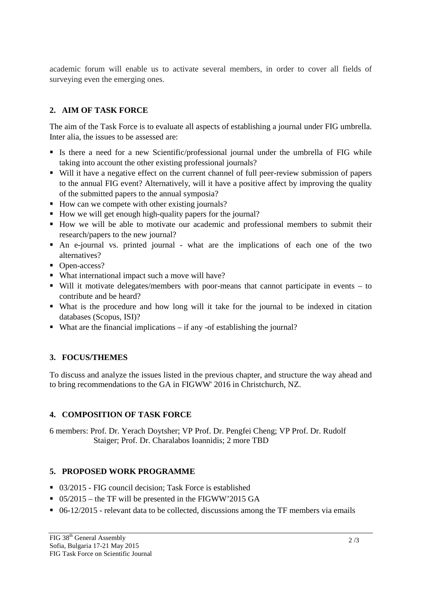academic forum will enable us to activate several members, in order to cover all fields of surveying even the emerging ones.

## **2. AIM OF TASK FORCE**

The aim of the Task Force is to evaluate all aspects of establishing a journal under FIG umbrella. Inter alia, the issues to be assessed are:

- Is there a need for a new Scientific/professional journal under the umbrella of FIG while taking into account the other existing professional journals?
- Will it have a negative effect on the current channel of full peer-review submission of papers to the annual FIG event? Alternatively, will it have a positive affect by improving the quality of the submitted papers to the annual symposia?
- How can we compete with other existing journals?
- How we will get enough high-quality papers for the journal?
- How we will be able to motivate our academic and professional members to submit their research/papers to the new journal?
- An e-journal vs. printed journal what are the implications of each one of the two alternatives?
- Open-access?
- What international impact such a move will have?
- Will it motivate delegates/members with poor-means that cannot participate in events to contribute and be heard?
- What is the procedure and how long will it take for the journal to be indexed in citation databases (Scopus, ISI)?
- What are the financial implications if any -of establishing the journal?

### **3. FOCUS/THEMES**

To discuss and analyze the issues listed in the previous chapter, and structure the way ahead and to bring recommendations to the GA in FIGWW' 2016 in Christchurch, NZ.

#### **4. COMPOSITION OF TASK FORCE**

6 members: Prof. Dr. Yerach Doytsher; VP Prof. Dr. Pengfei Cheng; VP Prof. Dr. Rudolf Staiger; Prof. Dr. Charalabos Ioannidis; 2 more TBD

### **5. PROPOSED WORK PROGRAMME**

- 03/2015 FIG council decision; Task Force is established
- $\bullet$  05/2015 the TF will be presented in the FIGWW'2015 GA
- 06-12/2015 relevant data to be collected, discussions among the TF members via emails